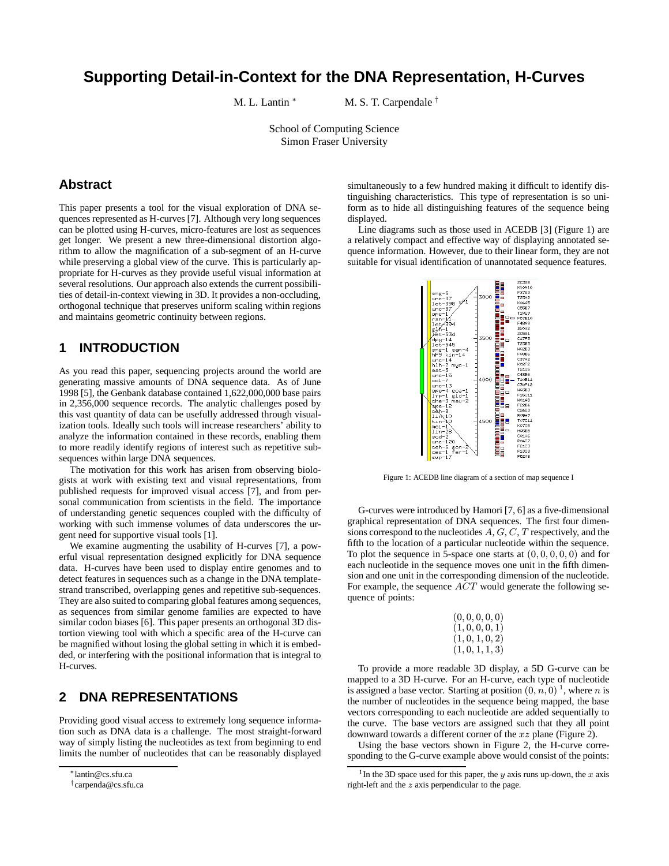# **Supporting Detail-in-Context for the DNA Representation, H-Curves**

M. L. Lantin  $*$  M. S. T. Carpendale  $\dagger$ 

School of Computing Science Simon Fraser University

#### **Abstract**

This paper presents a tool for the visual exploration of DNA sequences represented as H-curves [7]. Although very long sequences can be plotted using H-curves, micro-features are lost as sequences get longer. We present a new three-dimensional distortion algorithm to allow the magnification of a sub-segment of an H-curve while preserving a global view of the curve. This is particularly appropriate for H-curves as they provide useful visual information at several resolutions. Our approach also extends the current possibilities of detail-in-context viewing in 3D. It provides a non-occluding, orthogonal technique that preserves uniform scaling within regions and maintains geometric continuity between regions.

### **1 INTRODUCTION**

As you read this paper, sequencing projects around the world are generating massive amounts of DNA sequence data. As of June 1998 [5], the Genbank database contained 1,622,000,000 base pairs in 2,356,000 sequence records. The analytic challenges posed by this vast quantity of data can be usefully addressed through visualization tools. Ideally such tools will increase researchers' ability to analyze the information contained in these records, enabling them to more readily identify regions of interest such as repetitive subsequences within large DNA sequences.

The motivation for this work has arisen from observing biologists at work with existing text and visual representations, from published requests for improved visual access [7], and from personal communication from scientists in the field. The importance of understanding genetic sequences coupled with the difficulty of working with such immense volumes of data underscores the urgent need for supportive visual tools [1].

We examine augmenting the usability of H-curves [7], a powerful visual representation designed explicitly for DNA sequence data. H-curves have been used to display entire genomes and to detect features in sequences such as a change in the DNA templatestrand transcribed, overlapping genes and repetitive sub-sequences. They are also suited to comparing global features among sequences, as sequences from similar genome families are expected to have similar codon biases [6]. This paper presents an orthogonal 3D distortion viewing tool with which a specific area of the H-curve can be magnified without losing the global setting in which it is embedded, or interfering with the positional information that is integral to H-curves.

## **2 DNA REPRESENTATIONS**

Providing good visual access to extremely long sequence information such as DNA data is a challenge. The most straight-forward way of simply listing the nucleotides as text from beginning to end limits the number of nucleotides that can be reasonably displayed

simultaneously to a few hundred making it difficult to identify distinguishing characteristics. This type of representation is so uniform as to hide all distinguishing features of the sequence being displayed.

Line diagrams such as those used in ACEDB [3] (Figure 1) are a relatively compact and effective way of displaying annotated sequence information. However, due to their linear form, they are not suitable for visual identification of unannotated sequence features.



Figure 1: ACEDB line diagram of a section of map sequence I

G-curves were introduced by Hamori [7, 6] as a five-dimensional graphical representation of DNA sequences. The first four dimensions correspond to the nucleotides  $A, G, C, T$  respectively, and the fifth to the location of a particular nucleotide within the sequence. To plot the sequence in 5-space one starts at  $(0, 0, 0, 0, 0)$  and for each nucleotide in the sequence moves one unit in the fifth dimension and one unit in the corresponding dimension of the nucleotide. For example, the sequence ACT would generate the following sequence of points:

| (0,0,0,0,0) |  |  |
|-------------|--|--|
| (1,0,0,0,1) |  |  |
| (1,0,1,0,2) |  |  |
| (1,0,1,1,3) |  |  |

To provide a more readable 3D display, a 5D G-curve can be mapped to a 3D H-curve. For an H-curve, each type of nucleotide is assigned a base vector. Starting at position  $(0, n, 0)$ <sup>1</sup>, where n is the number of nucleotides in the sequence being mapped, the base vectors corresponding to each nucleotide are added sequentially to the curve. The base vectors are assigned such that they all point downward towards a different corner of the  $xz$  plane (Figure 2).

Using the base vectors shown in Figure 2, the H-curve corresponding to the G-curve example above would consist of the points:

<sup>∗</sup>lantin@cs.sfu.ca

<sup>†</sup>carpenda@cs.sfu.ca

<sup>&</sup>lt;sup>1</sup>In the 3D space used for this paper, the y axis runs up-down, the x axis right-left and the z axis perpendicular to the page.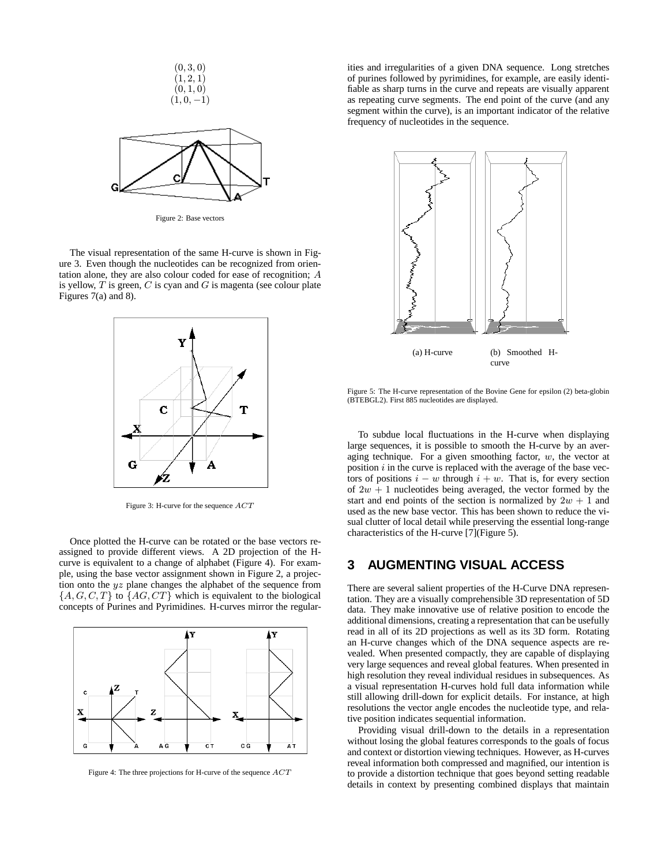

Figure 2: Base vectors

The visual representation of the same H-curve is shown in Figure 3. Even though the nucleotides can be recognized from orientation alone, they are also colour coded for ease of recognition; A is yellow,  $T$  is green,  $C$  is cyan and  $G$  is magenta (see colour plate Figures 7(a) and 8).



Figure 3: H-curve for the sequence ACT

Once plotted the H-curve can be rotated or the base vectors reassigned to provide different views. A 2D projection of the Hcurve is equivalent to a change of alphabet (Figure 4). For example, using the base vector assignment shown in Figure 2, a projection onto the yz plane changes the alphabet of the sequence from  ${A, G, C, T}$  to  ${AG, CT}$  which is equivalent to the biological concepts of Purines and Pyrimidines. H-curves mirror the regular-



Figure 4: The three projections for H-curve of the sequence ACT

ities and irregularities of a given DNA sequence. Long stretches of purines followed by pyrimidines, for example, are easily identifiable as sharp turns in the curve and repeats are visually apparent as repeating curve segments. The end point of the curve (and any segment within the curve), is an important indicator of the relative frequency of nucleotides in the sequence.



Figure 5: The H-curve representation of the Bovine Gene for epsilon (2) beta-globin (BTEBGL2). First 885 nucleotides are displayed.

To subdue local fluctuations in the H-curve when displaying large sequences, it is possible to smooth the H-curve by an averaging technique. For a given smoothing factor,  $w$ , the vector at position  $i$  in the curve is replaced with the average of the base vectors of positions  $i - w$  through  $i + w$ . That is, for every section of  $2w + 1$  nucleotides being averaged, the vector formed by the start and end points of the section is normalized by  $2w + 1$  and used as the new base vector. This has been shown to reduce the visual clutter of local detail while preserving the essential long-range characteristics of the H-curve [7](Figure 5).

#### **3 AUGMENTING VISUAL ACCESS**

There are several salient properties of the H-Curve DNA representation. They are a visually comprehensible 3D representation of 5D data. They make innovative use of relative position to encode the additional dimensions, creating a representation that can be usefully read in all of its 2D projections as well as its 3D form. Rotating an H-curve changes which of the DNA sequence aspects are revealed. When presented compactly, they are capable of displaying very large sequences and reveal global features. When presented in high resolution they reveal individual residues in subsequences. As a visual representation H-curves hold full data information while still allowing drill-down for explicit details. For instance, at high resolutions the vector angle encodes the nucleotide type, and relative position indicates sequential information.

Providing visual drill-down to the details in a representation without losing the global features corresponds to the goals of focus and context or distortion viewing techniques. However, as H-curves reveal information both compressed and magnified, our intention is to provide a distortion technique that goes beyond setting readable details in context by presenting combined displays that maintain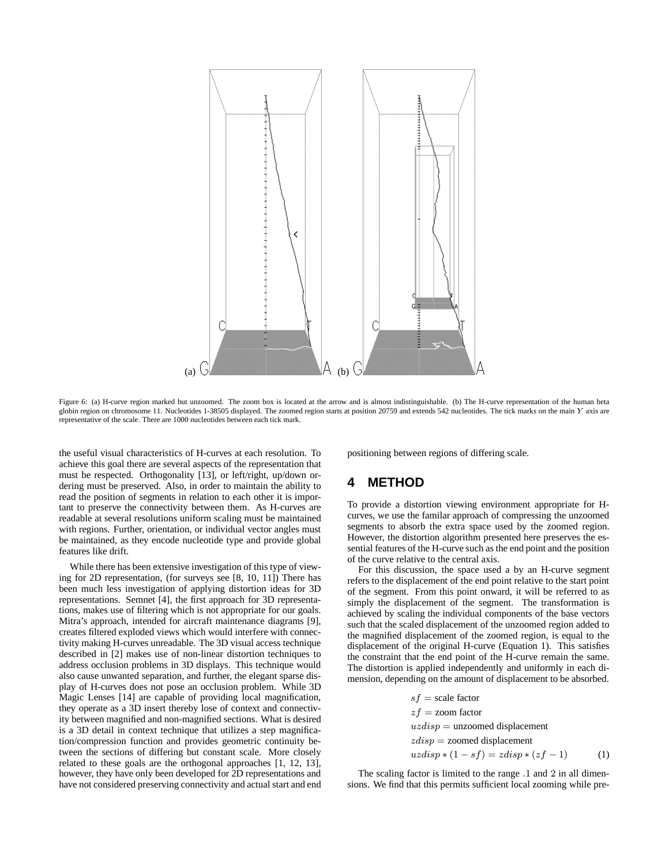

Figure 6: (a) H-curve region marked but unzoomed. The zoom box is located at the arrow and is almost indistinguishable. (b) The H-curve representation of the human beta globin region on chromosome 11. Nucleotides 1-38505 displayed. The zoomed region starts at position 20759 and extends 542 nucleotides. The tick marks on the main Y axis are representative of the scale. There are 1000 nucleotides between each tick mark.

the useful visual characteristics of H-curves at each resolution. To achieve this goal there are several aspects of the representation that must be respected. Orthogonality [13], or left/right, up/down ordering must be preserved. Also, in order to maintain the ability to read the position of segments in relation to each other it is important to preserve the connectivity between them. As H-curves are readable at several resolutions uniform scaling must be maintained with regions. Further, orientation, or individual vector angles must be maintained, as they encode nucleotide type and provide global features like drift.

While there has been extensive investigation of this type of viewing for 2D representation, (for surveys see [8, 10, 11]) There has been much less investigation of applying distortion ideas for 3D representations. Semnet [4], the first approach for 3D representations, makes use of filtering which is not appropriate for our goals. Mitra's approach, intended for aircraft maintenance diagrams [9], creates filtered exploded views which would interfere with connectivity making H-curves unreadable. The 3D visual access technique described in [2] makes use of non-linear distortion techniques to address occlusion problems in 3D displays. This technique would also cause unwanted separation, and further, the elegant sparse display of H-curves does not pose an occlusion problem. While 3D Magic Lenses [14] are capable of providing local magnification, they operate as a 3D insert thereby lose of context and connectivity between magnified and non-magnified sections. What is desired is a 3D detail in context technique that utilizes a step magnification/compression function and provides geometric continuity between the sections of differing but constant scale. More closely related to these goals are the orthogonal approaches [1, 12, 13], however, they have only been developed for 2D representations and have not considered preserving connectivity and actual start and end

positioning between regions of differing scale.

#### **4 METHOD**

To provide a distortion viewing environment appropriate for Hcurves, we use the familar approach of compressing the unzoomed segments to absorb the extra space used by the zoomed region. However, the distortion algorithm presented here preserves the essential features of the H-curve such as the end point and the position of the curve relative to the central axis.

For this discussion, the space used a by an H-curve segment refers to the displacement of the end point relative to the start point of the segment. From this point onward, it will be referred to as simply the displacement of the segment. The transformation is achieved by scaling the individual components of the base vectors such that the scaled displacement of the unzoomed region added to the magnified displacement of the zoomed region, is equal to the displacement of the original H-curve (Equation 1). This satisfies the constraint that the end point of the H-curve remain the same. The distortion is applied independently and uniformly in each dimension, depending on the amount of displacement to be absorbed.

$$
sf = scale factor
$$
  
\n
$$
zf = zoom factor
$$
  
\n
$$
uzdisp = unzoomed displacement
$$
  
\n
$$
zdisp = zoomed displacement
$$
  
\n
$$
uzdisp * (1 - sf) = zdisp * (zf - 1)
$$
 (1)

The scaling factor is limited to the range .1 and 2 in all dimensions. We find that this permits sufficient local zooming while pre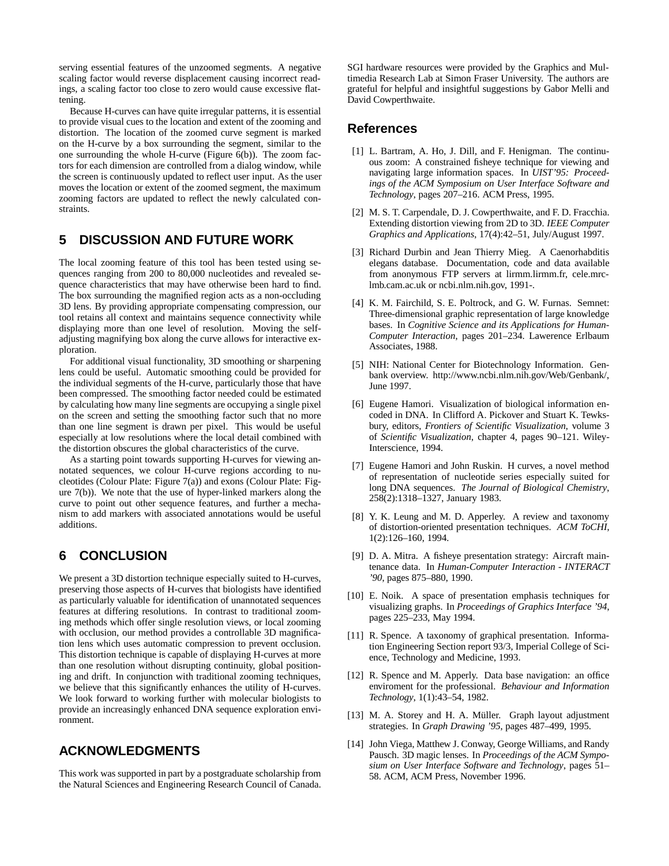serving essential features of the unzoomed segments. A negative scaling factor would reverse displacement causing incorrect readings, a scaling factor too close to zero would cause excessive flattening.

Because H-curves can have quite irregular patterns, it is essential to provide visual cues to the location and extent of the zooming and distortion. The location of the zoomed curve segment is marked on the H-curve by a box surrounding the segment, similar to the one surrounding the whole H-curve (Figure 6(b)). The zoom factors for each dimension are controlled from a dialog window, while the screen is continuously updated to reflect user input. As the user moves the location or extent of the zoomed segment, the maximum zooming factors are updated to reflect the newly calculated constraints.

#### **5 DISCUSSION AND FUTURE WORK**

The local zooming feature of this tool has been tested using sequences ranging from 200 to 80,000 nucleotides and revealed sequence characteristics that may have otherwise been hard to find. The box surrounding the magnified region acts as a non-occluding 3D lens. By providing appropriate compensating compression, our tool retains all context and maintains sequence connectivity while displaying more than one level of resolution. Moving the selfadjusting magnifying box along the curve allows for interactive exploration.

For additional visual functionality, 3D smoothing or sharpening lens could be useful. Automatic smoothing could be provided for the individual segments of the H-curve, particularly those that have been compressed. The smoothing factor needed could be estimated by calculating how many line segments are occupying a single pixel on the screen and setting the smoothing factor such that no more than one line segment is drawn per pixel. This would be useful especially at low resolutions where the local detail combined with the distortion obscures the global characteristics of the curve.

As a starting point towards supporting H-curves for viewing annotated sequences, we colour H-curve regions according to nucleotides (Colour Plate: Figure 7(a)) and exons (Colour Plate: Figure 7(b)). We note that the use of hyper-linked markers along the curve to point out other sequence features, and further a mechanism to add markers with associated annotations would be useful additions.

### **6 CONCLUSION**

We present a 3D distortion technique especially suited to H-curves, preserving those aspects of H-curves that biologists have identified as particularly valuable for identification of unannotated sequences features at differing resolutions. In contrast to traditional zooming methods which offer single resolution views, or local zooming with occlusion, our method provides a controllable 3D magnification lens which uses automatic compression to prevent occlusion. This distortion technique is capable of displaying H-curves at more than one resolution without disrupting continuity, global positioning and drift. In conjunction with traditional zooming techniques, we believe that this significantly enhances the utility of H-curves. We look forward to working further with molecular biologists to provide an increasingly enhanced DNA sequence exploration environment.

## **ACKNOWLEDGMENTS**

This work was supported in part by a postgraduate scholarship from the Natural Sciences and Engineering Research Council of Canada. SGI hardware resources were provided by the Graphics and Multimedia Research Lab at Simon Fraser University. The authors are grateful for helpful and insightful suggestions by Gabor Melli and David Cowperthwaite.

#### **References**

- [1] L. Bartram, A. Ho, J. Dill, and F. Henigman. The continuous zoom: A constrained fisheye technique for viewing and navigating large information spaces. In *UIST'95: Proceedings of the ACM Symposium on User Interface Software and Technology*, pages 207–216. ACM Press, 1995.
- [2] M. S. T. Carpendale, D. J. Cowperthwaite, and F. D. Fracchia. Extending distortion viewing from 2D to 3D. *IEEE Computer Graphics and Applications*, 17(4):42–51, July/August 1997.
- [3] Richard Durbin and Jean Thierry Mieg. A Caenorhabditis elegans database. Documentation, code and data available from anonymous FTP servers at lirmm.lirmm.fr, cele.mrclmb.cam.ac.uk or ncbi.nlm.nih.gov, 1991-.
- [4] K. M. Fairchild, S. E. Poltrock, and G. W. Furnas. Semnet: Three-dimensional graphic representation of large knowledge bases. In *Cognitive Science and its Applications for Human-Computer Interaction*, pages 201–234. Lawerence Erlbaum Associates, 1988.
- [5] NIH: National Center for Biotechnology Information. Genbank overview. http://www.ncbi.nlm.nih.gov/Web/Genbank/, June 1997.
- [6] Eugene Hamori. Visualization of biological information encoded in DNA. In Clifford A. Pickover and Stuart K. Tewksbury, editors, *Frontiers of Scientific Visualization*, volume 3 of *Scientific Visualization*, chapter 4, pages 90–121. Wiley-Interscience, 1994.
- [7] Eugene Hamori and John Ruskin. H curves, a novel method of representation of nucleotide series especially suited for long DNA sequences. *The Journal of Biological Chemistry*, 258(2):1318–1327, January 1983.
- [8] Y. K. Leung and M. D. Apperley. A review and taxonomy of distortion-oriented presentation techniques. *ACM ToCHI*, 1(2):126–160, 1994.
- [9] D. A. Mitra. A fisheye presentation strategy: Aircraft maintenance data. In *Human-Computer Interaction - INTERACT '90*, pages 875–880, 1990.
- [10] E. Noik. A space of presentation emphasis techniques for visualizing graphs. In *Proceedings of Graphics Interface '94*, pages 225–233, May 1994.
- [11] R. Spence. A taxonomy of graphical presentation. Information Engineering Section report 93/3, Imperial College of Science, Technology and Medicine, 1993.
- [12] R. Spence and M. Apperly. Data base navigation: an office enviroment for the professional. *Behaviour and Information Technology*, 1(1):43–54, 1982.
- [13] M. A. Storey and H. A. Müller. Graph layout adjustment strategies. In *Graph Drawing '95*, pages 487–499, 1995.
- [14] John Viega, Matthew J. Conway, George Williams, and Randy Pausch. 3D magic lenses. In *Proceedings of the ACM Symposium on User Interface Software and Technology*, pages 51– 58. ACM, ACM Press, November 1996.